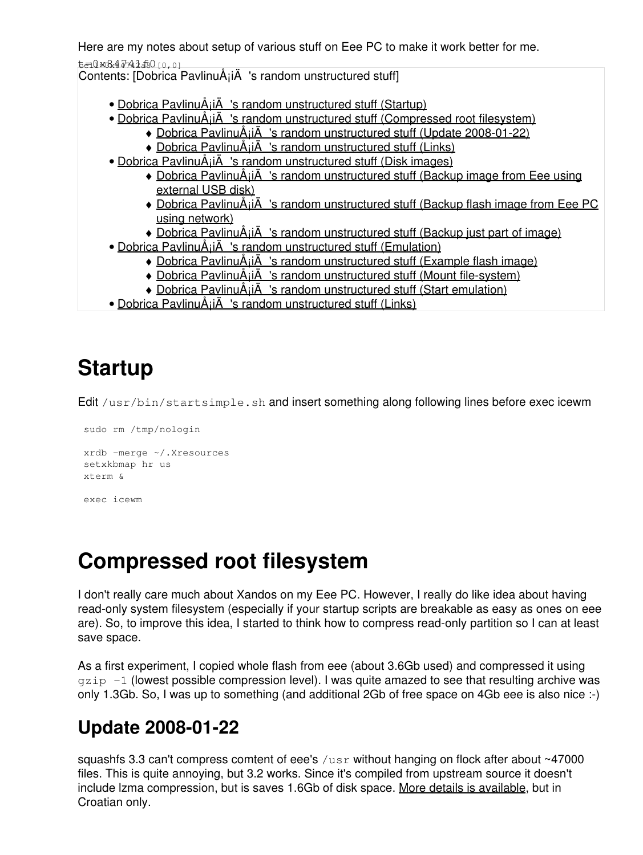Here are my notes about setup of various stuff on Eee PC to make it work better for me.

 $t=0 \times 84741500000$ 

Contents: [Dobrica PavlinuÅ<sub>j</sub>iÄ 's random unstructured stuff]

- Dobrica PavlinuÅ<sub>i</sub>jÄ 's random unstructured stuff (Startup)
- Dobrica PavlinuÅ<sub>i</sub>jÄ 's random unstructured stuff (Compressed root filesystem)
	- ◆ Dobrica PavlinuÅ<sub>i</sub>jÄ's random unstructured stuff (Update 2008-01-22)
	- ◆ Dobrica PavlinuÅiiÄ 's random unstructured stuff (Links)
- Dobrica PavlinuÅ<sub>i</sub>iÄ 's random unstructured stuff (Disk images)
	- Dobrica PavlinuA<sub>i</sub>iA 's random unstructured stuff (Backup image from Eee using [external USB disk\)](https://saturn.ffzg.hr/rot13/index.cgi?dobrica_pavlinu%C5%A1i%C4%87_s_random_unstructured_stuff#backup_image_from_eee_using_external_usb_disk)
	- ◆ Dobrica PavlinuA<sub>i</sub>iA 's random unstructured stuff (Backup flash image from Eee PC [using network\)](https://saturn.ffzg.hr/rot13/index.cgi?dobrica_pavlinu%C5%A1i%C4%87_s_random_unstructured_stuff#backup_flash_image_from_eee_pc_using_network)
	- ◆ Dobrica PavlinuÅ¡iÄ 's random unstructured stuff (Backup just part of image)
- Dobrica PavlinuÅ<sub>i</sub>iÄ 's random unstructured stuff (Emulation)
	- ◆ Dobrica PavlinuÅ<sub>l</sub>iÄ 's random unstructured stuff (Example flash image)
	- ◆ Dobrica PavlinuÅ<sub>i</sub>iÄ's random unstructured stuff (Mount file-system)
	- ◆ Dobrica PavlinuÅ<sub>i</sub>iÄ's random unstructured stuff (Start emulation)
- Dobrica PavlinuÅ<sub>i</sub>iÄ 's random unstructured stuff (Links)

# **Startup**

Edit /usr/bin/startsimple.sh and insert something along following lines before exec icewm

```
 sudo rm /tmp/nologin
 xrdb -merge ~/.Xresources
 setxkbmap hr us
 xterm &
 exec icewm
```
## **Compressed root filesystem**

I don't really care much about Xandos on my Eee PC. However, I really do like idea about having read-only system filesystem (especially if your startup scripts are breakable as easy as ones on eee are). So, to improve this idea, I started to think how to compress read-only partition so I can at least save space.

As a first experiment, I copied whole flash from eee (about 3.6Gb used) and compressed it using  $qzip -1$  (lowest possible compression level). I was quite amazed to see that resulting archive was only 1.3Gb. So, I was up to something (and additional 2Gb of free space on 4Gb eee is also nice :-)

### **Update 2008-01-22**

squashfs 3.3 can't compress comtent of eee's  $/\text{usr}$  without hanging on flock after about ~47000 files. This is quite annoying, but 3.2 works. Since it's compiled from upstream source it doesn't include Izma compression, but is saves 1.6Gb of disk space. [More details is available](http://groups.google.com/group/eeepc-zagreb/browse_thread/thread/c68d220ec0c5b2dc), but in Croatian only.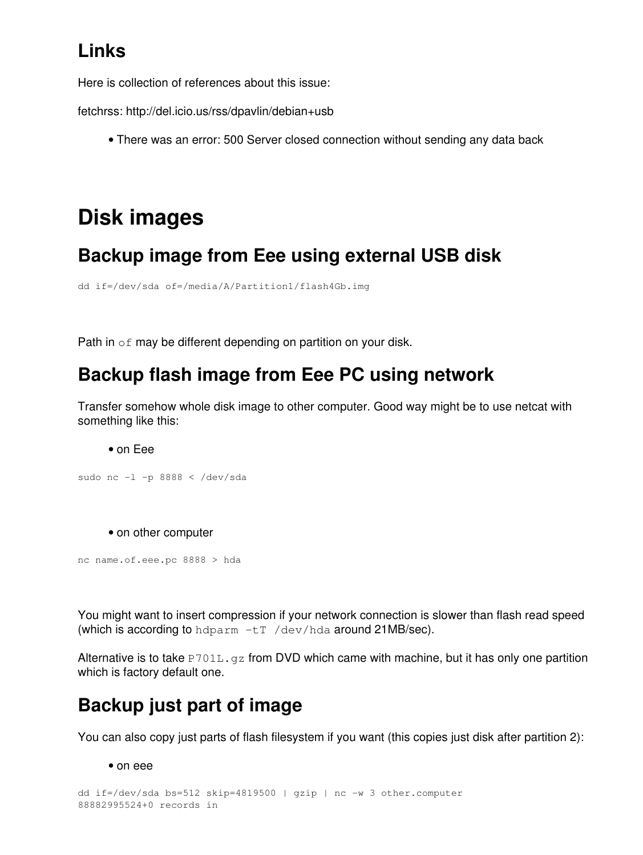### **Links**

Here is collection of references about this issue:

fetchrss: http://del.icio.us/rss/dpavlin/debian+usb

• There was an error: 500 Server closed connection without sending any data back

### **Disk images**

#### **Backup image from Eee using external USB disk**

```
dd if=/dev/sda of=/media/A/Partition1/flash4Gb.img
```
Path in of may be different depending on partition on your disk.

#### **Backup flash image from Eee PC using network**

Transfer somehow whole disk image to other computer. Good way might be to use netcat with something like this:

• on Eee

```
sudo nc -l -p 8888 < /dev/sda
```
• on other computer

nc name.of.eee.pc 8888 > hda

You might want to insert compression if your network connection is slower than flash read speed (which is according to hdparm  $-tr$  /dev/hda around 21MB/sec).

Alternative is to take  $P701L$ . gz from DVD which came with machine, but it has only one partition which is factory default one.

#### **Backup just part of image**

You can also copy just parts of flash filesystem if you want (this copies just disk after partition 2):

• on eee

```
dd if=/dev/sda bs=512 skip=4819500 | gzip | nc -w 3 other.computer
88882995524+0 records in
```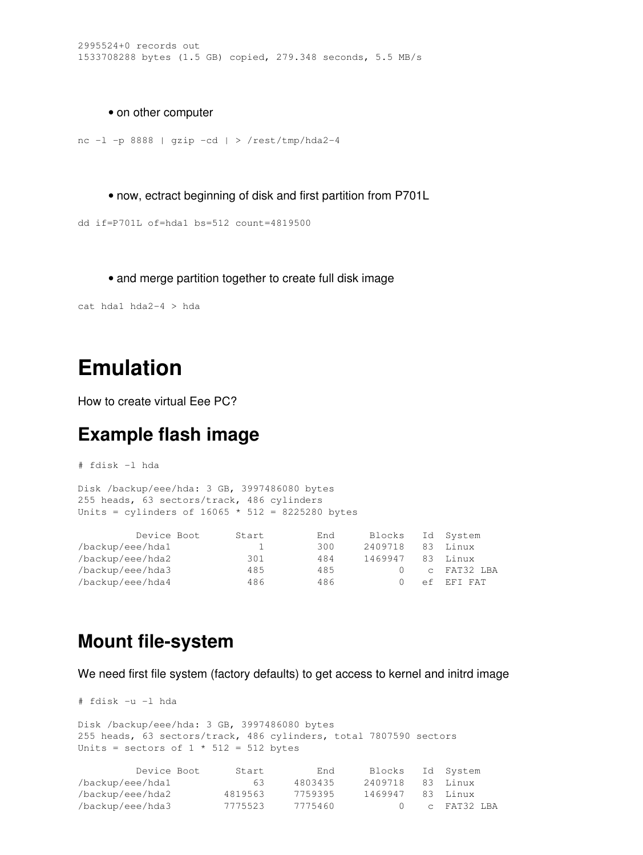• on other computer

```
nc -l -p 8888 | gzip -cd | > /rest/tmp/hda2-4
```
• now, ectract beginning of disk and first partition from P701L

```
dd if=P701L of=hda1 bs=512 count=4819500
```
• and merge partition together to create full disk image

cat hda1 hda2-4 > hda

### **Emulation**

How to create virtual Eee PC?

#### **Example flash image**

# fdisk -l hda

Disk /backup/eee/hda: 3 GB, 3997486080 bytes 255 heads, 63 sectors/track, 486 cylinders Units = cylinders of  $16065 * 512 = 8225280$  bytes

| Device Boot      | Start | End | Blocks  |    | Id System   |
|------------------|-------|-----|---------|----|-------------|
| /backup/eee/hda1 |       | 300 | 2409718 | 83 | Linux       |
| /backup/eee/hda2 | 301   | 484 | 1469947 |    | 83 Linux    |
| /backup/eee/hda3 | 485   | 485 |         |    | c FAT32 LBA |
| /backup/eee/hda4 | 486   | 486 |         |    | ef EFT FAT  |

#### **Mount file-system**

We need first file system (factory defaults) to get access to kernel and initrd image

```
# fdisk -u -l hda 
Disk /backup/eee/hda: 3 GB, 3997486080 bytes
255 heads, 63 sectors/track, 486 cylinders, total 7807590 sectors
Units = sectors of 1 * 512 = 512 bytes
          Device Boot Start End Blocks Id System
```

| /backup/eee/hda1 | 63.     | 4803435 | 2409718 | - 83 - Linux |
|------------------|---------|---------|---------|--------------|
| /backup/eee/hda2 | 4819563 | 7759395 | 1469947 | 83 Linux     |
| /backup/eee/hda3 | 7775523 | 7775460 |         | c FAT32 LBA  |
|                  |         |         |         |              |